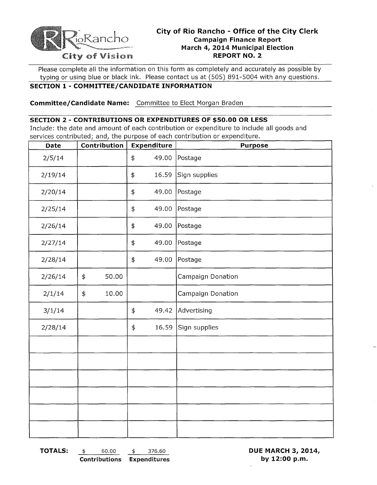

# **City of Rio Rancho - Office of the City Clerk Campaign Finance Report March 4, 2014 Municipal Election** City of Vision **REPORT NO.2**

Please complete **all** the information on this form as completely and accurately as possible by typing or using blue or black ink. Please contact us at (505) 891-5004 with any questions.

#### **SECTION 1 - COMMITTEE/CANDIDATE INFORMATION**

**Committee/Candidate Name:** Committee to Elect Morgan Braden

### **SECTION 2 - CONTRIBUTIONS OR EXPENDITURES OF \$50.00 OR LESS**

Include: the date and amount of each contribution or expenditure to include all goods and services contributed; and, the purpose of each contribution or expenditure.

| Date    |            | Contribution |                  | Expenditure | <b>Purpose</b>    |  |
|---------|------------|--------------|------------------|-------------|-------------------|--|
| 2/5/14  |            |              | $\pmb{\ddagger}$ | 49.00       | Postage           |  |
| 2/19/14 |            |              | \$               | 16.59       | Sign supplies     |  |
| 2/20/14 |            |              | \$               | 49.00       | Postage           |  |
| 2/25/14 |            |              | \$               | 49.00       | Postage           |  |
| 2/26/14 |            |              | \$               | 49.00       | Postage           |  |
| 2/27/14 |            |              | \$               | 49.00       | Postage           |  |
| 2/28/14 |            |              | \$               | 49.00       | Postage           |  |
| 2/26/14 | \$         | 50.00        |                  |             | Campaign Donation |  |
| 2/1/14  | $\ddagger$ | 10.00        |                  |             | Campaign Donation |  |
| 3/1/14  |            |              | \$               | 49.42       | Advertising       |  |
| 2/28/14 |            |              | $\ddagger$       | 16.59       | Sign supplies     |  |
|         |            |              |                  |             |                   |  |
|         |            |              |                  |             |                   |  |
|         |            |              |                  |             |                   |  |
|         |            |              |                  |             |                   |  |
|         |            |              |                  |             |                   |  |
|         |            |              |                  |             |                   |  |

**TOTALS:** \$ 60.00 \$ 376.60 **DUE MARCH 3, 2014,** 

**Contributions Expenditures by 12:00 p.m.**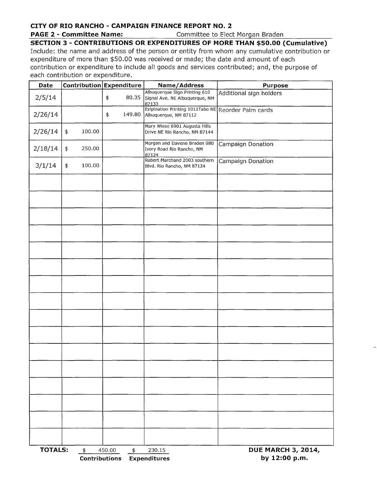### **CITY OF RIO RANCHO - CAMPAIGN FINANCE REPORT NO.2**

**PAGE 2 - Committee Name:** Committee to Elect Morgan Braden

**SECTION 3 - CONTRIBUTIONS OR EXPENDITURES OF MORE THAN \$50.00 (Cumulative)** 

Include: the name and address of the person or entity from whom any cumulative contribution or expenditure of more than \$50.00 was received or made; the date and amount of each contribution or expenditure to include all goods and services contributed; and, the purpose of each contribution or expenditure.

| Date           |                                       | Contribution Expenditure | Name/Address                                                                 | <b>Purpose</b>                             |  |  |
|----------------|---------------------------------------|--------------------------|------------------------------------------------------------------------------|--------------------------------------------|--|--|
| 2/5/14         |                                       | \$<br>80.35              | Albuquerque Sign Printing 610<br>Signal Ave. NE Albuquerque, NM<br>87133     | Additional sign holders                    |  |  |
| 2/26/14        |                                       | \$<br>149.80             | Exipination Printing 1011Tabo NE Reorder Palm cards<br>Albuquerque, NM 87112 |                                            |  |  |
| 2/26/14        | \$<br>100.00                          |                          | Mary Wiese 6901 Augusta Hills<br>Drive NE Rio Rancho, NM 87144               |                                            |  |  |
| 2/18/14        | $\ddagger$<br>250.00                  |                          | Morgan and Davene Braden 980<br>Ivory Road Rio Rancho, NM<br>87124           | Campaign Donation                          |  |  |
| 3/1/14         | \$<br>100.00                          |                          | Robert Marchand 2003 southern<br>Blvd. Rio Rancho, NM 87124                  | Campaign Donation                          |  |  |
|                |                                       |                          |                                                                              |                                            |  |  |
|                |                                       |                          |                                                                              |                                            |  |  |
|                |                                       |                          |                                                                              |                                            |  |  |
|                |                                       |                          |                                                                              |                                            |  |  |
|                |                                       |                          |                                                                              |                                            |  |  |
|                |                                       |                          |                                                                              |                                            |  |  |
|                |                                       |                          |                                                                              |                                            |  |  |
|                |                                       |                          |                                                                              |                                            |  |  |
|                |                                       |                          |                                                                              |                                            |  |  |
|                |                                       |                          |                                                                              |                                            |  |  |
|                |                                       |                          |                                                                              |                                            |  |  |
|                |                                       |                          |                                                                              |                                            |  |  |
|                |                                       |                          |                                                                              |                                            |  |  |
|                |                                       |                          |                                                                              |                                            |  |  |
|                |                                       |                          |                                                                              |                                            |  |  |
|                |                                       |                          |                                                                              |                                            |  |  |
| <b>TOTALS:</b> | $\frac{4}{5}$<br><b>Contributions</b> | 450.00<br>$\frac{4}{5}$  | 230.15<br><b>Expenditures</b>                                                | <b>DUE MARCH 3, 2014,</b><br>by 12:00 p.m. |  |  |